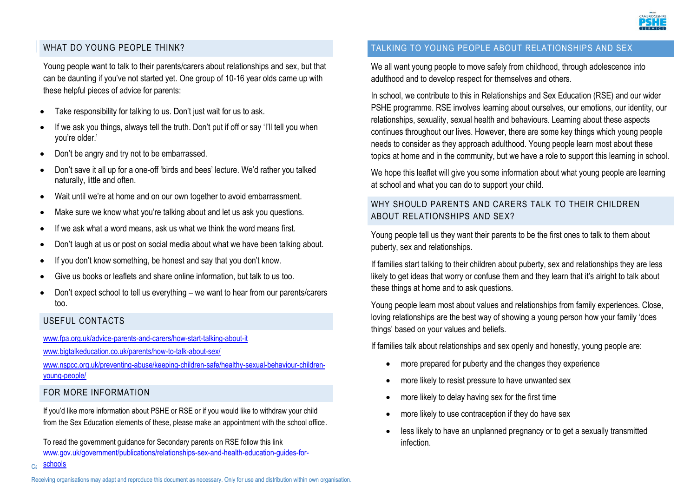

#### WHAT DO YOUNG PFOPLE THINK?

Young people want to talk to their parents/carers about relationships and sex, but that can be daunting if you've not started yet. One group of 10-16 year olds came up with these helpful pieces of advice for parents:

- Take responsibility for talking to us. Don't just wait for us to ask.
- If we ask you things, always tell the truth. Don't put if off or say 'I'll tell you when you're older.'
- Don't be angry and try not to be embarrassed.
- Don't save it all up for a one-off 'birds and bees' lecture. We'd rather you talked naturally, little and often.
- Wait until we're at home and on our own together to avoid embarrassment.
- Make sure we know what you're talking about and let us ask you questions.
- If we ask what a word means, ask us what we think the word means first.
- Don't laugh at us or post on social media about what we have been talking about.
- If you don't know something, be honest and say that you don't know.
- Give us books or leaflets and share online information, but talk to us too.
- Don't expect school to tell us everything we want to hear from our parents/carers too.

#### USEFUL CONTACTS

[www.fpa.org.uk/advice-parents-and-carers/how-start-talking-about-it](http://www.fpa.org.uk/advice-parents-and-carers/how-start-talking-about-it)

[www.bigtalkeducation.co.uk/parents/how-to-talk-about-sex/](http://www.bigtalkeducation.co.uk/parents/how-to-talk-about-sex/)

[www.nspcc.org.uk/preventing-abuse/keeping-children-safe/healthy-sexual-behaviour-children](http://www.nspcc.org.uk/preventing-abuse/keeping-children-safe/healthy-sexual-behaviour-children-young-people/)[young-people/](http://www.nspcc.org.uk/preventing-abuse/keeping-children-safe/healthy-sexual-behaviour-children-young-people/)

#### FOR MORE INFORMATION

If you'd like more information about PSHE or RSE or if you would like to withdraw your child from the Sex Education elements of these, please make an appointment with the school office.

To read the government guidance for Secondary parents on RSE follow this link [www.gov.uk/government/publications/relationships-sex-and-health-education-guides-for-](file://///ccc.cambridgeshire.gov.uk/data/Elh%20Edu%20PSHE/Shared/Cathy%20Working%20Area/Public%20Health/PH%20RSE%202018-19/RSE%20Toolkit%20PH/www.gov.uk/government/publications/relationships-sex-and-health-education-guides-for-schools)

## TALKING TO YOUNG PEOPLE ABOUT RELATIONSHIPS AND SEX

We all want young people to move safely from childhood, through adolescence into adulthood and to develop respect for themselves and others.

In school, we contribute to this in Relationships and Sex Education (RSE) and our wider PSHE programme. RSE involves learning about ourselves, our emotions, our identity, our relationships, sexuality, sexual health and behaviours. Learning about these aspects continues throughout our lives. However, there are some key things which young people needs to consider as they approach adulthood. Young people learn most about these topics at home and in the community, but we have a role to support this learning in school.

We hope this leaflet will give you some information about what young people are learning at school and what you can do to support your child.

## WHY SHOULD PARENTS AND CARERS TALK TO THEIR CHILDREN ABOUT RELATIONSHIPS AND SEX?

Young people tell us they want their parents to be the first ones to talk to them about puberty, sex and relationships.

If families start talking to their children about puberty, sex and relationships they are less likely to get ideas that worry or confuse them and they learn that it's alright to talk about these things at home and to ask questions.

Young people learn most about values and relationships from family experiences. Close, loving relationships are the best way of showing a young person how your family 'does things' based on your values and beliefs.

If families talk about relationships and sex openly and honestly, young people are:

- more prepared for puberty and the changes they experience
- more likely to resist pressure to have unwanted sex
- more likely to delay having sex for the first time
- more likely to use contraception if they do have sex
- less likely to have an unplanned pregnancy or to get a sexually transmitted infection.

Receiving organisations may adapt and reproduce this document as necessary. Only for use and distribution within own organisation.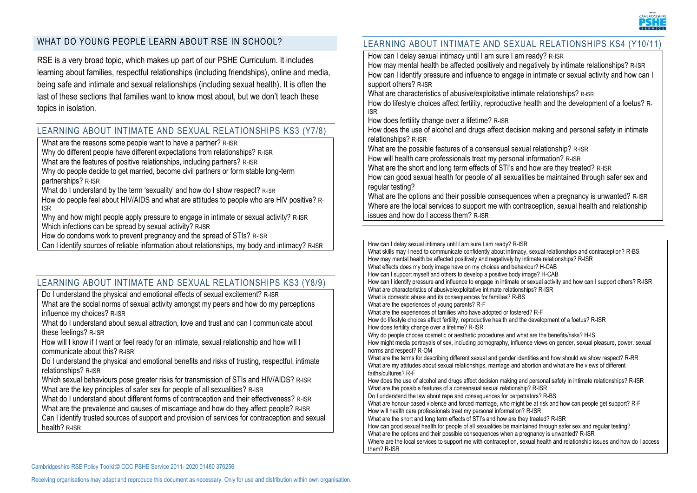

### WHAT DO YOUNG PEOPLE LEARN ABOUT RSE IN SCHOOL?

RSE is a very broad topic, which makes up part of our PSHE Curriculum. It includes learning about families, respectful relationships (including friendships), online and media, being safe and intimate and sexual relationships (including sexual health). It is often the last of these sections that families want to know most about, but we don't teach these topics in isolation.

#### LEARNING ABOUT INTIMATE AND SEXUAL RELATIONSHIPS KS3 (Y7/8)

What are the reasons some people want to have a partner? R-ISR

Why do different people have different expectations from relationships? R-ISR

What are the features of positive relationships, including partners? R-ISR

Why do people decide to get married, become civil partners or form stable long-term partnerships? R-ISR

What do I understand by the term 'sexuality' and how do I show respect? R-ISR

How do people feel about HIV/AIDS and what are attitudes to people who are HIV positive? R-ISR

Why and how might people apply pressure to engage in intimate or sexual activity? R-ISR Which infections can be spread by sexual activity? R-ISR

How do condoms work to prevent pregnancy and the spread of STIs? R-ISR

Can I identify sources of reliable information about relationships, my body and intimacy? R-ISR

### LEARNING ABOUT INTIMATE AND SEXUAL RELATIONSHIPS KS3 (Y8/9)

Do I understand the physical and emotional effects of sexual excitement? R-ISR

What are the social norms of sexual activity amongst my peers and how do my perceptions influence my choices? R-ISR

What do I understand about sexual attraction, love and trust and can I communicate about these feelings? R-ISR

How will I know if I want or feel ready for an intimate, sexual relationship and how will I communicate about this? R-ISR

Do I understand the physical and emotional benefits and risks of trusting, respectful, intimate relationships? R-ISR

Which sexual behaviours pose greater risks for transmission of STIs and HIV/AIDS? R-ISR What are the key principles of safer sex for people of all sexualities? R-ISR

What do I understand about different forms of contraception and their effectiveness? R-ISR

What are the prevalence and causes of miscarriage and how do they affect people? R-ISR

Can I identify trusted sources of support and provision of services for contraception and sexual health? R-ISR

### LEARNING ABOUT INTIMATE AND SEXUAL RELATIONSHIPS KS4 (Y10/11)

How can I delay sexual intimacy until I am sure I am ready? R-ISR

How may mental health be affected positively and negatively by intimate relationships? R-ISR How can I identify pressure and influence to engage in intimate or sexual activity and how can I support others? R-ISR

What are characteristics of abusive/exploitative intimate relationships? R-ISR

How do lifestyle choices affect fertility, reproductive health and the development of a foetus? R-ISR

How does fertility change over a lifetime? R-ISR

How does the use of alcohol and drugs affect decision making and personal safety in intimate relationships? R-ISR

What are the possible features of a consensual sexual relationship? R-ISR

How will health care professionals treat my personal information? R-ISR

What are the short and long term effects of STI's and how are they treated? R-ISR

How can good sexual health for people of all sexualities be maintained through safer sex and regular testing?

What are the options and their possible consequences when a pregnancy is unwanted? R-ISR Where are the local services to support me with contraception, sexual health and relationship issues and how do I access them? R-ISR

How can I delay sexual intimacy until I am sure I am ready? R-ISR What skills may I need to communicate confidently about intimacy, sexual relationships and contraception? R-BS How may mental health be affected positively and negatively by intimate relationships? R-ISR What effects does my body image have on my choices and behaviour? H-CAB How can I support myself and others to develop a positive body image? H-CAB How can I identify pressure and influence to engage in intimate or sexual activity and how can I support others? R-ISR What are characteristics of abusive/exploitative intimate relationships? R-ISR What is domestic abuse and its consequences for families? R-BS What are the experiences of young parents? R-F What are the experiences of families who have adopted or fostered? R-F How do lifestyle choices affect fertility, reproductive health and the development of a foetus? R-ISR How does fertility change over a lifetime? R-ISR Why do people choose cosmetic or aesthetic procedures and what are the benefits/risks? H-IS How might media portrayals of sex, including pornography, influence views on gender, sexual pleasure, power, sexual norms and respect? R-OM What are the terms for describing different sexual and gender identities and how should we show respect? R-RR What are my attitudes about sexual relationships, marriage and abortion and what are the views of different faiths/cultures? R-F How does the use of alcohol and drugs affect decision making and personal safety in intimate relationships? R-ISR What are the possible features of a consensual sexual relationship? R-ISR Do I understand the law about rape and consequences for perpetrators? R-BS What are honour-based violence and forced marriage, who might be at risk and how can people get support? R-F How will health care professionals treat my personal information? R-ISR What are the short and long term effects of STI's and how are they treated? R-ISR How can good sexual health for people of all sexualities be maintained through safer sex and regular testing? What are the options and their possible consequences when a pregnancy is unwanted? R-ISR Where are the local services to support me with contraception, sexual health and relationship issues and how do I access them? R-ISR